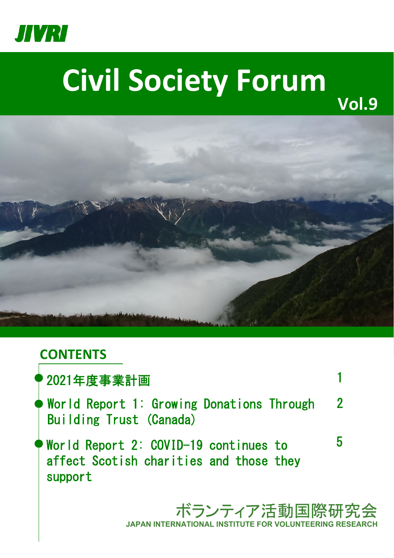

# **Civil Society Forum**



## **CONTENTS**

| ?2021年度事業計画                                                                                 |                |
|---------------------------------------------------------------------------------------------|----------------|
| $\blacklozenge$ World Report 1: Growing Donations Through<br>Building Trust (Canada)        | $\overline{2}$ |
| World Report 2: COVID-19 continues to<br>affect Scotish charities and those they<br>support | ხ              |
| ボランティア活動国際研?                                                                                |                |

充会 **JAPAN INTERNATIONAL INSTITUTE FOR VOLUNTEERING RESEARCH**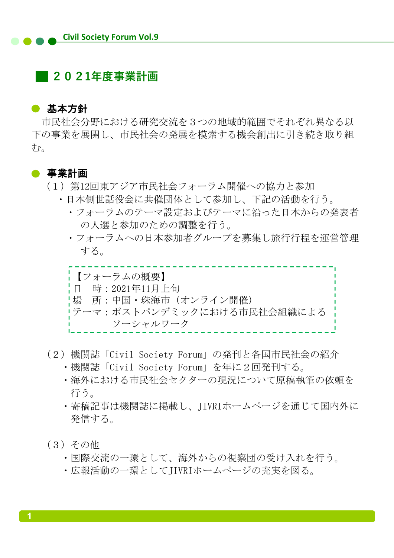### **2021年度事業計画**

#### ● 基本方針

市民社会分野における研究交流を3つの地域的範囲でそれぞれ異なる以 下の事業を展開し、市民社会の発展を模索する機会創出に引き続き取り組  $\partial \Phi_{\alpha}$ 

#### ● 事業計画

- (1)第12回東アジア市民社会フォーラム開催への協力と参加
	- ・日本側世話役会に共催団体として参加し、下記の活動を行う。
		- ・フォーラムのテーマ設定およびテーマに沿った日本からの発表者 の人選と参加のための調整を行う。
		- ・フォーラムへの日本参加者グループを募集し旅行行程を運営管理 する。

【フォーラムの概要】 日 時:2021年11月上旬 場 所:中国・珠海市 (オンライン開催) テーマ:ポストパンデミックにおける市民社会組織による ソーシャルワーク

- (2)機関誌「Civil Society Forum」の発刊と各国市民社会の紹介
	- ・機関誌「Civil Society Forum」を年に2回発刊する。
	- ・海外における市民社会セクターの現況について原稿執筆の依頼を 行う。
	- ・寄稿記事は機関誌に掲載し、JIVRIホームページを通じて国内外に 発信する。
- (3)その他
	- ・国際交流の一環として、海外からの視察団の受け入れを行う。
	- ・広報活動の一環としてJIVRIホームページの充実を図る。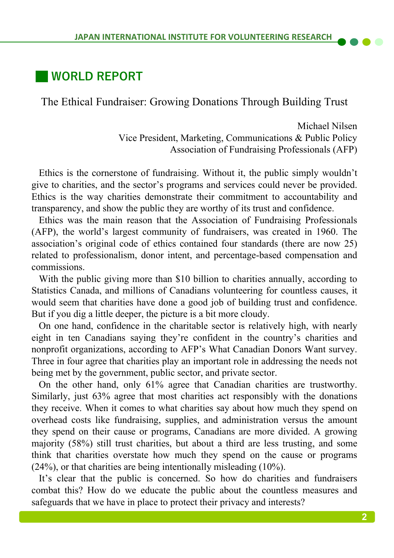## **WORLD REPORT**

The Ethical Fundraiser: Growing Donations Through Building Trust

Michael Nilsen Vice President, Marketing, Communications & Public Policy Association of Fundraising Professionals (AFP)

Ethics is the cornerstone of fundraising. Without it, the public simply wouldn't give to charities, and the sector's programs and services could never be provided. Ethics is the way charities demonstrate their commitment to accountability and transparency, and show the public they are worthy of its trust and confidence.

Ethics was the main reason that the Association of Fundraising Professionals (AFP), the world's largest community of fundraisers, was created in 1960. The association's original code of ethics contained four standards (there are now 25) related to professionalism, donor intent, and percentage-based compensation and commissions.

With the public giving more than \$10 billion to charities annually, according to Statistics Canada, and millions of Canadians volunteering for countless causes, it would seem that charities have done a good job of building trust and confidence. But if you dig a little deeper, the picture is a bit more cloudy.

On one hand, confidence in the charitable sector is relatively high, with nearly eight in ten Canadians saying they're confident in the country's charities and nonprofit organizations, according to AFP's What Canadian Donors Want survey. Three in four agree that charities play an important role in addressing the needs not being met by the government, public sector, and private sector.

On the other hand, only 61% agree that Canadian charities are trustworthy. Similarly, just 63% agree that most charities act responsibly with the donations they receive. When it comes to what charities say about how much they spend on overhead costs like fundraising, supplies, and administration versus the amount they spend on their cause or programs, Canadians are more divided. A growing majority (58%) still trust charities, but about a third are less trusting, and some think that charities overstate how much they spend on the cause or programs (24%), or that charities are being intentionally misleading (10%).

It's clear that the public is concerned. So how do charities and fundraisers combat this? How do we educate the public about the countless measures and safeguards that we have in place to protect their privacy and interests?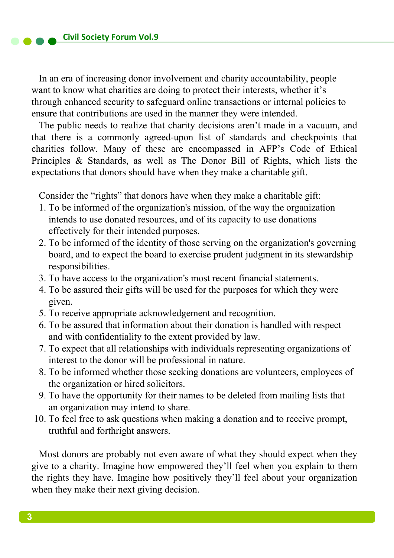In an era of increasing donor involvement and charity accountability, people want to know what charities are doing to protect their interests, whether it's through enhanced security to safeguard online transactions or internal policies to ensure that contributions are used in the manner they were intended.

The public needs to realize that charity decisions aren't made in a vacuum, and that there is a commonly agreed-upon list of standards and checkpoints that charities follow. Many of these are encompassed in AFP's Code of Ethical Principles & Standards, as well as The Donor Bill of Rights, which lists the expectations that donors should have when they make a charitable gift.

Consider the "rights" that donors have when they make a charitable gift:

- 1. To be informed of the organization's mission, of the way the organization intends to use donated resources, and of its capacity to use donations effectively for their intended purposes.
- 2. To be informed of the identity of those serving on the organization's governing board, and to expect the board to exercise prudent judgment in its stewardship responsibilities.
- 3. To have access to the organization's most recent financial statements.
- 4. To be assured their gifts will be used for the purposes for which they were given.
- 5. To receive appropriate acknowledgement and recognition.
- 6. To be assured that information about their donation is handled with respect and with confidentiality to the extent provided by law.
- 7. To expect that all relationships with individuals representing organizations of interest to the donor will be professional in nature.
- 8. To be informed whether those seeking donations are volunteers, employees of the organization or hired solicitors.
- 9. To have the opportunity for their names to be deleted from mailing lists that an organization may intend to share.
- 10. To feel free to ask questions when making a donation and to receive prompt, truthful and forthright answers.

Most donors are probably not even aware of what they should expect when they give to a charity. Imagine how empowered they'll feel when you explain to them the rights they have. Imagine how positively they'll feel about your organization when they make their next giving decision.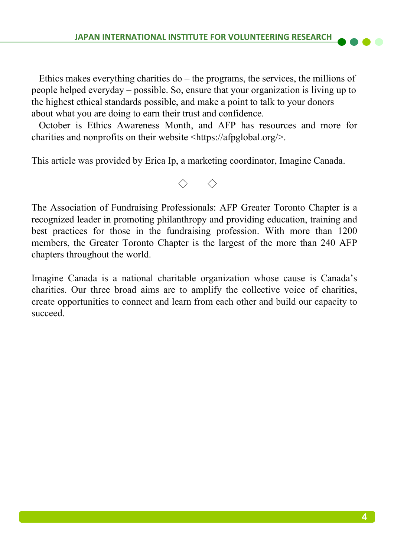Ethics makes everything charities do  $-$  the programs, the services, the millions of people helped everyday – possible. So, ensure that your organization is living up to the highest ethical standards possible, and make a point to talk to your donors about what you are doing to earn their trust and confidence.

October is Ethics Awareness Month, and AFP has resources and more for charities and nonprofits on their website <https://afpglobal.org/>.

This article was provided by Erica Ip, a marketing coordinator, Imagine Canada.

◇ ◇

The Association of Fundraising Professionals: AFP Greater Toronto Chapter is a recognized leader in promoting philanthropy and providing education, training and best practices for those in the fundraising profession. With more than 1200 members, the Greater Toronto Chapter is the largest of the more than 240 AFP chapters throughout the world.

Imagine Canada is a national charitable organization whose cause is Canada's charities. Our three broad aims are to amplify the collective voice of charities, create opportunities to connect and learn from each other and build our capacity to succeed.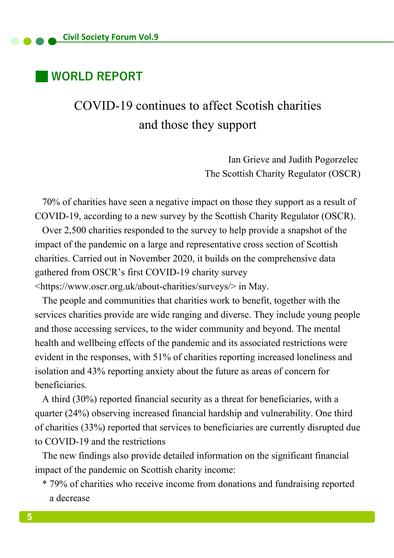## **WORLD REPORT**

# COVID-19 continues to affect Scotish charities and those they support

Ian Grieve and Judith Pogorzelec The Scottish Charity Regulator (OSCR)

70% of charities have seen a negative impact on those they support as a result of COVID-19, according to a new survey by the Scottish Charity Regulator (OSCR).

Over 2,500 charities responded to the survey to help provide a snapshot of the impact of the pandemic on a large and representative cross section of Scottish charities. Carried out in November 2020, it builds on the comprehensive data gathered from OSCR's first COVID-19 charity survey <https://www.oscr.org.uk/about-charities/surveys/> in May.

The people and communities that charities work to benefit, together with the services charities provide are wide ranging and diverse. They include young people and those accessing services, to the wider community and beyond. The mental health and wellbeing effects of the pandemic and its associated restrictions were evident in the responses, with 51% of charities reporting increased loneliness and isolation and 43% reporting anxiety about the future as areas of concern for beneficiaries.

A third (30%) reported financial security as a threat for beneficiaries, with a quarter (24%) observing increased financial hardship and vulnerability. One third of charities (33%) reported that services to beneficiaries are currently disrupted due to COVID-19 and the restrictions

The new findings also provide detailed information on the significant financial impact of the pandemic on Scottish charity income:

\* 79% of charities who receive income from donations and fundraising reported a decrease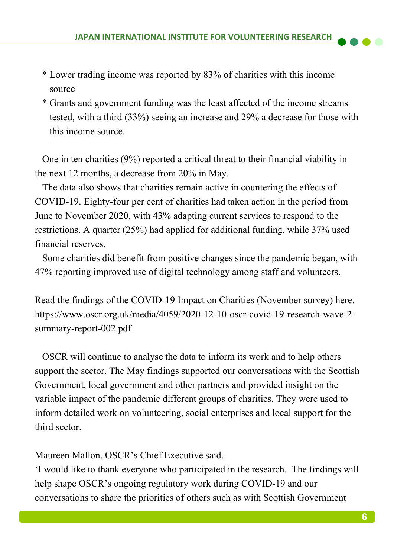- \* Lower trading income was reported by 83% of charities with this income source
- \* Grants and government funding was the least affected of the income streams tested, with a third (33%) seeing an increase and 29% a decrease for those with this income source.

One in ten charities (9%) reported a critical threat to their financial viability in the next 12 months, a decrease from 20% in May.

The data also shows that charities remain active in countering the effects of COVID-19. Eighty-four per cent of charities had taken action in the period from June to November 2020, with 43% adapting current services to respond to the restrictions. A quarter (25%) had applied for additional funding, while 37% used financial reserves.

Some charities did benefit from positive changes since the pandemic began, with 47% reporting improved use of digital technology among staff and volunteers.

Read the findings of the COVID-19 Impact on Charities (November survey) here. https://www.oscr.org.uk/media/4059/2020-12-10-oscr-covid-19-research-wave-2 summary-report-002.pdf

OSCR will continue to analyse the data to inform its work and to help others support the sector. The May findings supported our conversations with the Scottish Government, local government and other partners and provided insight on the variable impact of the pandemic different groups of charities. They were used to inform detailed work on volunteering, social enterprises and local support for the third sector.

Maureen Mallon, OSCR's Chief Executive said,

'I would like to thank everyone who participated in the research. The findings will help shape OSCR's ongoing regulatory work during COVID-19 and our conversations to share the priorities of others such as with Scottish Government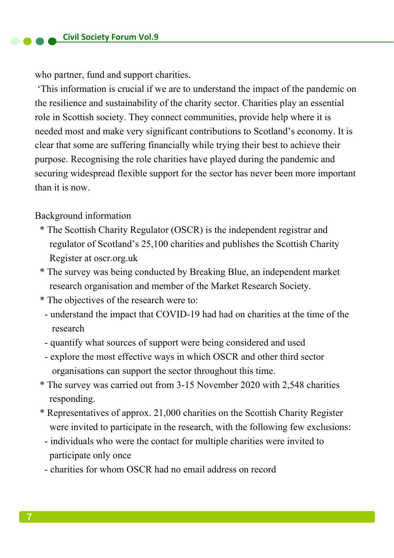who partner, fund and support charities.

'This information is crucial if we are to understand the impact of the pandemic on the resilience and sustainability of the charity sector. Charities play an essential role in Scottish society. They connect communities, provide help where it is needed most and make very significant contributions to Scotland's economy. It is clear that some are suffering financially while trying their best to achieve their purpose. Recognising the role charities have played during the pandemic and securing widespread flexible support for the sector has never been more important than it is now.

#### Background information

- \* The Scottish Charity Regulator (OSCR) is the independent registrar and regulator of Scotland's 25,100 charities and publishes the Scottish Charity Register at oscr.org.uk
- \* The survey was being conducted by Breaking Blue, an independent market research organisation and member of the Market Research Society.
- \* The objectives of the research were to:
	- understand the impact that COVID-19 had had on charities at the time of the research
	- quantify what sources of support were being considered and used
	- explore the most effective ways in which OSCR and other third sector organisations can support the sector throughout this time.
- \* The survey was carried out from 3-15 November 2020 with 2,548 charities responding.
- \* Representatives of approx. 21,000 charities on the Scottish Charity Register were invited to participate in the research, with the following few exclusions:
- individuals who were the contact for multiple charities were invited to participate only once
- charities for whom OSCR had no email address on record